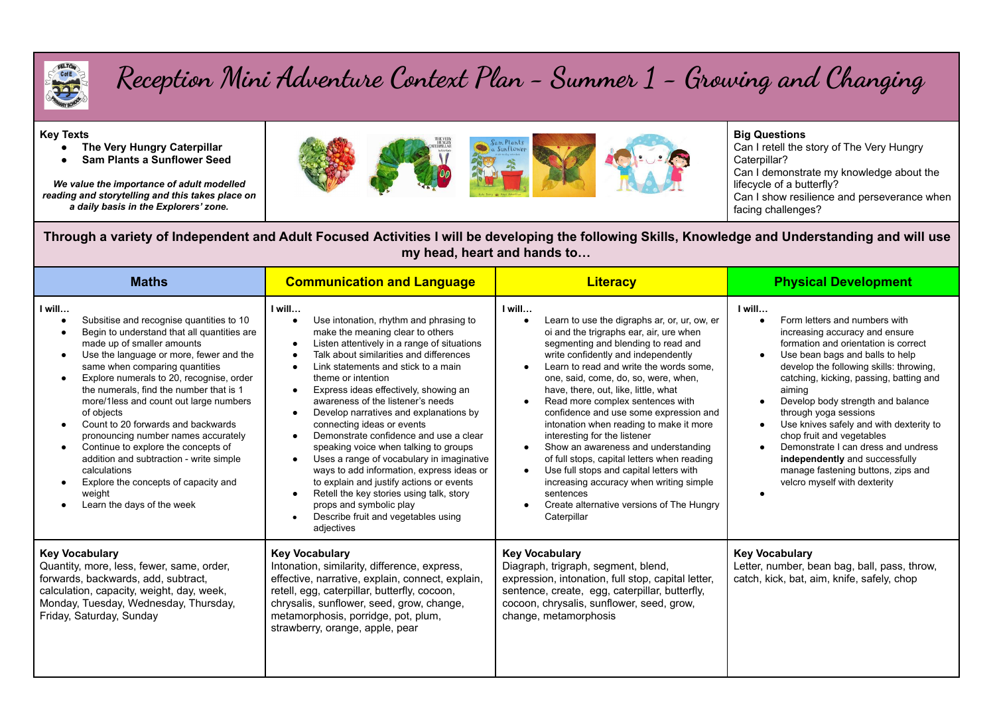

## **Reception Mini Adventure Context Plan - Summer 1 - Growing and Changing**

## **Key Texts**

- **● The Very Hungry Caterpillar**
- **● Sam Plants a Sunflower Seed**

*We value the importance of adult modelled reading and storytelling and this takes place on a daily basis in the Explorers' zone.*



## **Big Questions**

Can I retell the story of The Very Hungry Caterpillar? Can I demonstrate my knowledge about the lifecycle of a butterfly? Can I show resilience and perseverance when facing challenges?

Through a variety of Independent and Adult Focused Activities I will be developing the following Skills, Knowledge and Understanding and will use **my head, heart and hands to…**

| <b>Maths</b>                                                                                                                                                                                                                                                                                                                                                                                                                                                                                                                                                                                                                            | <b>Communication and Language</b>                                                                                                                                                                                                                                                                                                                                                                                                                                                                                                                                                                                                                                                                                                                                                                                                                 | <b>Literacy</b>                                                                                                                                                                                                                                                                                                                                                                                                                                                                                                                                                                                                                                                                                                          | <b>Physical Development</b>                                                                                                                                                                                                                                                                                                                                                                                                                                                                                                               |
|-----------------------------------------------------------------------------------------------------------------------------------------------------------------------------------------------------------------------------------------------------------------------------------------------------------------------------------------------------------------------------------------------------------------------------------------------------------------------------------------------------------------------------------------------------------------------------------------------------------------------------------------|---------------------------------------------------------------------------------------------------------------------------------------------------------------------------------------------------------------------------------------------------------------------------------------------------------------------------------------------------------------------------------------------------------------------------------------------------------------------------------------------------------------------------------------------------------------------------------------------------------------------------------------------------------------------------------------------------------------------------------------------------------------------------------------------------------------------------------------------------|--------------------------------------------------------------------------------------------------------------------------------------------------------------------------------------------------------------------------------------------------------------------------------------------------------------------------------------------------------------------------------------------------------------------------------------------------------------------------------------------------------------------------------------------------------------------------------------------------------------------------------------------------------------------------------------------------------------------------|-------------------------------------------------------------------------------------------------------------------------------------------------------------------------------------------------------------------------------------------------------------------------------------------------------------------------------------------------------------------------------------------------------------------------------------------------------------------------------------------------------------------------------------------|
| I will<br>Subsitise and recognise quantities to 10<br>Begin to understand that all quantities are<br>made up of smaller amounts<br>Use the language or more, fewer and the<br>same when comparing quantities<br>Explore numerals to 20, recognise, order<br>the numerals, find the number that is 1<br>more/1less and count out large numbers<br>of objects<br>Count to 20 forwards and backwards<br>pronouncing number names accurately<br>Continue to explore the concepts of<br>$\bullet$<br>addition and subtraction - write simple<br>calculations<br>Explore the concepts of capacity and<br>weight<br>Learn the days of the week | I will<br>Use intonation, rhythm and phrasing to<br>make the meaning clear to others<br>Listen attentively in a range of situations<br>$\bullet$<br>Talk about similarities and differences<br>Link statements and stick to a main<br>$\bullet$<br>theme or intention<br>Express ideas effectively, showing an<br>$\bullet$<br>awareness of the listener's needs<br>Develop narratives and explanations by<br>$\bullet$<br>connecting ideas or events<br>Demonstrate confidence and use a clear<br>$\bullet$<br>speaking voice when talking to groups<br>Uses a range of vocabulary in imaginative<br>$\bullet$<br>ways to add information, express ideas or<br>to explain and justify actions or events<br>Retell the key stories using talk, story<br>props and symbolic play<br>Describe fruit and vegetables using<br>$\bullet$<br>adjectives | I will<br>Learn to use the digraphs ar, or, ur, ow, er<br>oi and the trigraphs ear, air, ure when<br>segmenting and blending to read and<br>write confidently and independently<br>Learn to read and write the words some,<br>one, said, come, do, so, were, when,<br>have, there, out, like, little, what<br>Read more complex sentences with<br>confidence and use some expression and<br>intonation when reading to make it more<br>interesting for the listener<br>Show an awareness and understanding<br>of full stops, capital letters when reading<br>Use full stops and capital letters with<br>increasing accuracy when writing simple<br>sentences<br>Create alternative versions of The Hungry<br>Caterpillar | I will<br>Form letters and numbers with<br>increasing accuracy and ensure<br>formation and orientation is correct<br>Use bean bags and balls to help<br>develop the following skills: throwing,<br>catching, kicking, passing, batting and<br>aiming<br>Develop body strength and balance<br>through yoga sessions<br>Use knives safely and with dexterity to<br>chop fruit and vegetables<br>Demonstrate I can dress and undress<br>independently and successfully<br>manage fastening buttons, zips and<br>velcro myself with dexterity |
| <b>Key Vocabulary</b><br>Quantity, more, less, fewer, same, order,<br>forwards, backwards, add, subtract,<br>calculation, capacity, weight, day, week,<br>Monday, Tuesday, Wednesday, Thursday,<br>Friday, Saturday, Sunday                                                                                                                                                                                                                                                                                                                                                                                                             | <b>Key Vocabulary</b><br>Intonation, similarity, difference, express,<br>effective, narrative, explain, connect, explain,<br>retell, egg, caterpillar, butterfly, cocoon,<br>chrysalis, sunflower, seed, grow, change,<br>metamorphosis, porridge, pot, plum,<br>strawberry, orange, apple, pear                                                                                                                                                                                                                                                                                                                                                                                                                                                                                                                                                  | <b>Key Vocabulary</b><br>Diagraph, trigraph, segment, blend,<br>expression, intonation, full stop, capital letter,<br>sentence, create, egg, caterpillar, butterfly,<br>cocoon, chrysalis, sunflower, seed, grow,<br>change, metamorphosis                                                                                                                                                                                                                                                                                                                                                                                                                                                                               | <b>Key Vocabulary</b><br>Letter, number, bean bag, ball, pass, throw,<br>catch, kick, bat, aim, knife, safely, chop                                                                                                                                                                                                                                                                                                                                                                                                                       |